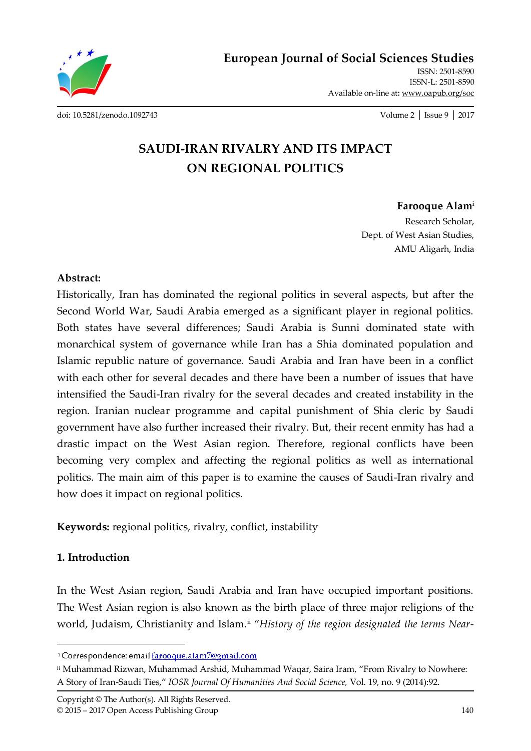**European Journal of Social Sciences Studies**

ISSN: 2501-8590 ISSN-L: 2501-8590 Available on-line at**:** www.oapub.org/soc

[doi: 10.5281/zenodo.1092743](http://dx.doi.org/10.5281/zenodo.1092743) Volume 2 │ Issue 9 │ 2017

# **SAUDI-IRAN RIVALRY AND ITS IMPACT ON REGIONAL POLITICS**

## **Farooque Alam<sup>i</sup>**

Research Scholar, Dept. of West Asian Studies, AMU Aligarh, India

## **Abstract:**

Historically, Iran has dominated the regional politics in several aspects, but after the Second World War, Saudi Arabia emerged as a significant player in regional politics. Both states have several differences; Saudi Arabia is Sunni dominated state with monarchical system of governance while Iran has a Shia dominated population and Islamic republic nature of governance. Saudi Arabia and Iran have been in a conflict with each other for several decades and there have been a number of issues that have intensified the Saudi-Iran rivalry for the several decades and created instability in the region. Iranian nuclear programme and capital punishment of Shia cleric by Saudi government have also further increased their rivalry. But, their recent enmity has had a drastic impact on the West Asian region. Therefore, regional conflicts have been becoming very complex and affecting the regional politics as well as international politics. The main aim of this paper is to examine the causes of Saudi-Iran rivalry and how does it impact on regional politics.

**Keywords:** regional politics, rivalry, conflict, instability

## **1. Introduction**

 $\overline{\phantom{a}}$ 

In the West Asian region, Saudi Arabia and Iran have occupied important positions. The West Asian region is also known as the birth place of three major religions of the world, Judaism, Christianity and Islam.<sup>ii</sup> "History of the region designated the terms Near-

<sup>&</sup>lt;sup>i</sup> Correspondence: email farooque.alam7@gmail.com

ii Muhammad Rizwan, Muhammad Arshid, Muhammad Waqar, Saira Iram, 'From Rivalry to Nowhere: A Story of Iran-Saudi Ties,' *IOSR Journal Of Humanities And Social Science,* Vol. 19, no. 9 (2014):92.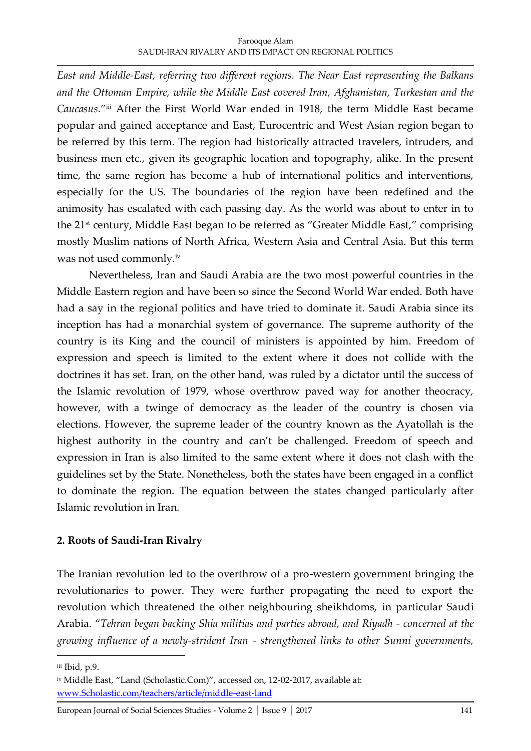### Farooque Alam SAUDI-IRAN RIVALRY AND ITS IMPACT ON REGIONAL POLITICS

*East and Middle-East, referring two different regions. The Near East representing the Balkans and the Ottoman Empire, while the Middle East covered Iran, Afghanistan, Turkestan and the Caucasus*.'iii After the First World War ended in 1918, the term Middle East became popular and gained acceptance and East, Eurocentric and West Asian region began to be referred by this term. The region had historically attracted travelers, intruders, and business men etc., given its geographic location and topography, alike. In the present time, the same region has become a hub of international politics and interventions, especially for the US. The boundaries of the region have been redefined and the animosity has escalated with each passing day. As the world was about to enter in to the 21<sup>st</sup> century, Middle East began to be referred as "Greater Middle East," comprising mostly Muslim nations of North Africa, Western Asia and Central Asia. But this term was not used commonly.iv

Nevertheless, Iran and Saudi Arabia are the two most powerful countries in the Middle Eastern region and have been so since the Second World War ended. Both have had a say in the regional politics and have tried to dominate it. Saudi Arabia since its inception has had a monarchial system of governance. The supreme authority of the country is its King and the council of ministers is appointed by him. Freedom of expression and speech is limited to the extent where it does not collide with the doctrines it has set. Iran, on the other hand, was ruled by a dictator until the success of the Islamic revolution of 1979, whose overthrow paved way for another theocracy, however, with a twinge of democracy as the leader of the country is chosen via elections. However, the supreme leader of the country known as the Ayatollah is the highest authority in the country and can't be challenged. Freedom of speech and expression in Iran is also limited to the same extent where it does not clash with the guidelines set by the State. Nonetheless, both the states have been engaged in a conflict to dominate the region. The equation between the states changed particularly after Islamic revolution in Iran.

## **2. Roots of Saudi-Iran Rivalry**

The Iranian revolution led to the overthrow of a pro-western government bringing the revolutionaries to power. They were further propagating the need to export the revolution which threatened the other neighbouring sheikhdoms, in particular Saudi Arabia. '*Tehran began backing Shia militias and parties abroad, and Riyadh - concerned at the growing influence of a newly-strident Iran - strengthened links to other Sunni governments,* 

iii Ibid, p.9.

iv Middle East, "Land (Scholastic.Com)", accessed on, 12-02-2017, available at: [www.Scholastic.com/teachers/article/middle-east-land](http://www.scholastic.com/teachers/article/middle-east-land)

European Journal of Social Sciences Studies - Volume 2 | Issue 9 | 2017 141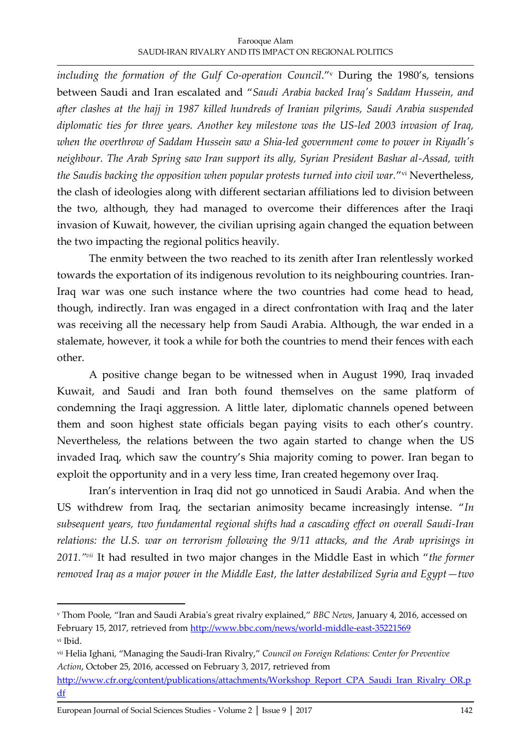including the formation of the Gulf Co-operation Council."v During the 1980's, tensions between Saudi and Iran escalated and '*Saudi Arabia backed Iraq's Saddam Hussein, and after clashes at the hajj in 1987 killed hundreds of Iranian pilgrims, Saudi Arabia suspended diplomatic ties for three years. Another key milestone was the US-led 2003 invasion of Iraq, when the overthrow of Saddam Hussein saw a Shia-led government come to power in Riyadh's neighbour. The Arab Spring saw Iran support its ally, Syrian President Bashar al-Assad, with*  the Saudis backing the opposition when popular protests turned into civil war."<sup>vi</sup> Nevertheless, the clash of ideologies along with different sectarian affiliations led to division between the two, although, they had managed to overcome their differences after the Iraqi invasion of Kuwait, however, the civilian uprising again changed the equation between the two impacting the regional politics heavily.

The enmity between the two reached to its zenith after Iran relentlessly worked towards the exportation of its indigenous revolution to its neighbouring countries. Iran-Iraq war was one such instance where the two countries had come head to head, though, indirectly. Iran was engaged in a direct confrontation with Iraq and the later was receiving all the necessary help from Saudi Arabia. Although, the war ended in a stalemate, however, it took a while for both the countries to mend their fences with each other.

A positive change began to be witnessed when in August 1990, Iraq invaded Kuwait, and Saudi and Iran both found themselves on the same platform of condemning the Iraqi aggression. A little later, diplomatic channels opened between them and soon highest state officials began paying visits to each other's country. Nevertheless, the relations between the two again started to change when the US invaded Iraq, which saw the country's Shia majority coming to power. Iran began to exploit the opportunity and in a very less time, Iran created hegemony over Iraq.

Iran's intervention in Iraq did not go unnoticed in Saudi Arabia. And when the US withdrew from Iraq, the sectarian animosity became increasingly intense. '*In subsequent years, two fundamental regional shifts had a cascading effect on overall Saudi-Iran relations: the U.S. war on terrorism following the 9/11 attacks, and the Arab uprisings in 2011."vii* It had resulted in two major changes in the Middle East in which '*the former removed Iraq as a major power in the Middle East, the latter destabilized Syria and Egypt—two* 

<sup>v</sup> Thom Poole, 'Iran and Saudi Arabia's great rivalry explained,' *BBC News*, January 4, 2016, accessed on February 15, 2017, retrieved from<http://www.bbc.com/news/world-middle-east-35221569> vi Ibid.

vii Helia Ighani, 'Managing the Saudi-Iran Rivalry,' *Council on Foreign Relations: Center for Preventive Action*, October 25, 2016, accessed on February 3, 2017, retrieved from

[http://www.cfr.org/content/publications/attachments/Workshop\\_Report\\_CPA\\_Saudi\\_Iran\\_Rivalry\\_OR.p](http://www.cfr.org/content/publications/attachments/Workshop_Report_CPA_Saudi_Iran_Rivalry_OR.pdf) [df](http://www.cfr.org/content/publications/attachments/Workshop_Report_CPA_Saudi_Iran_Rivalry_OR.pdf)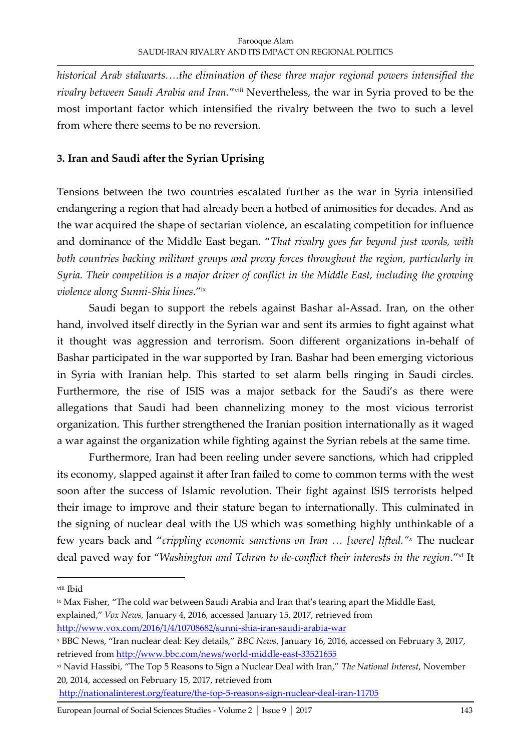*historical Arab stalwarts….the elimination of these three major regional powers intensified the*  rivalry between Saudi Arabia and Iran."<sup>viii</sup> Nevertheless, the war in Syria proved to be the most important factor which intensified the rivalry between the two to such a level from where there seems to be no reversion.

## **3. Iran and Saudi after the Syrian Uprising**

Tensions between the two countries escalated further as the war in Syria intensified endangering a region that had already been a hotbed of animosities for decades. And as the war acquired the shape of sectarian violence, an escalating competition for influence and dominance of the Middle East began. '*That rivalry goes far beyond just words, with both countries backing militant groups and proxy forces throughout the region, particularly in Syria. Their competition is a major driver of conflict in the Middle East, including the growing violence along Sunni-Shia lines*.'ix

Saudi began to support the rebels against Bashar al-Assad. Iran, on the other hand, involved itself directly in the Syrian war and sent its armies to fight against what it thought was aggression and terrorism. Soon different organizations in-behalf of Bashar participated in the war supported by Iran. Bashar had been emerging victorious in Syria with Iranian help. This started to set alarm bells ringing in Saudi circles. Furthermore, the rise of ISIS was a major setback for the Saudi's as there were allegations that Saudi had been channelizing money to the most vicious terrorist organization. This further strengthened the Iranian position internationally as it waged a war against the organization while fighting against the Syrian rebels at the same time.

Furthermore, Iran had been reeling under severe sanctions, which had crippled its economy, slapped against it after Iran failed to come to common terms with the west soon after the success of Islamic revolution. Their fight against ISIS terrorists helped their image to improve and their stature began to internationally. This culminated in the signing of nuclear deal with the US which was something highly unthinkable of a few years back and '*crippling economic sanctions on Iran … [were] lifted."<sup>x</sup>* The nuclear deal paved way for "Washington and Tehran to de-conflict their interests in the region."xi It

 $\overline{\phantom{a}}$ 

<http://www.vox.com/2016/1/4/10708682/sunni-shia-iran-saudi-arabia-war>

viii Ibid

<sup>&</sup>lt;sup>ix</sup> Max Fisher, "The cold war between Saudi Arabia and Iran that's tearing apart the Middle East, explained,' *Vox News,* January 4, 2016, accessed January 15, 2017, retrieved from

<sup>x</sup> BBC News, 'Iran nuclear deal: Key details,' *BBC News*, January 16, 2016, accessed on February 3, 2017, retrieved fro[m http://www.bbc.com/news/world-middle-east-33521655](http://www.bbc.com/news/world-middle-east-33521655)

xi Navid Hassibi, 'The Top 5 Reasons to Sign a Nuclear Deal with Iran,' *The National Interest*, November 20, 2014, accessed on February 15, 2017, retrieved from

<http://nationalinterest.org/feature/the-top-5-reasons-sign-nuclear-deal-iran-11705>

European Journal of Social Sciences Studies - Volume 2 │ Issue 9 │ 2017 143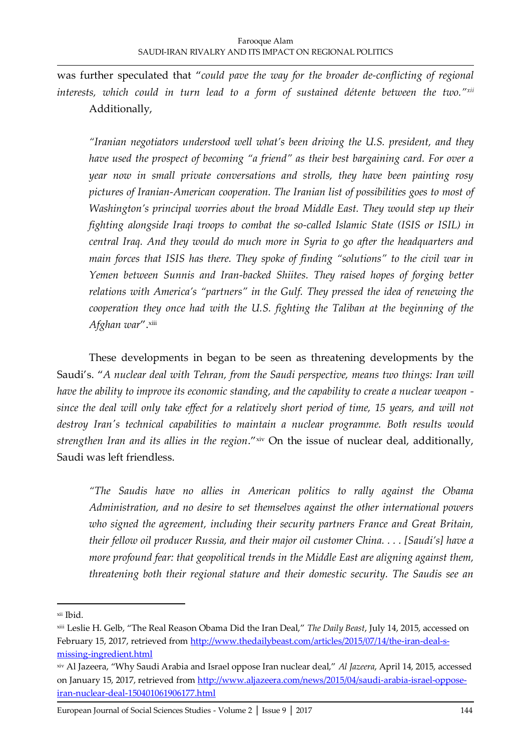was further speculated that '*could pave the way for the broader de-conflicting of regional interests, which could in turn lead to a form of sustained détente between the two."xii* Additionally,

*"Iranian negotiators understood well what's been driving the U.S. president, and they have used the prospect of becoming "a friend" as their best bargaining card. For over a year now in small private conversations and strolls, they have been painting rosy pictures of Iranian-American cooperation. The Iranian list of possibilities goes to most of Washington's principal worries about the broad Middle East. They would step up their fighting alongside Iraqi troops to combat the so-called Islamic State (ISIS or ISIL) in central Iraq. And they would do much more in Syria to go after the headquarters and main forces that ISIS has there. They spoke of finding "solutions" to the civil war in Yemen between Sunnis and Iran-backed Shiites. They raised hopes of forging better relations with America's "partners" in the Gulf. They pressed the idea of renewing the cooperation they once had with the U.S. fighting the Taliban at the beginning of the Afghan war*'. xiii

These developments in began to be seen as threatening developments by the Saudi's. '*A nuclear deal with Tehran, from the Saudi perspective, means two things: Iran will have the ability to improve its economic standing, and the capability to create a nuclear weapon since the deal will only take effect for a relatively short period of time, 15 years, and will not destroy Iran's technical capabilities to maintain a nuclear programme. Both results would*  strengthen Iran and its allies in the region."xiv On the issue of nuclear deal, additionally, Saudi was left friendless.

*"The Saudis have no allies in American politics to rally against the Obama Administration, and no desire to set themselves against the other international powers who signed the agreement, including their security partners France and Great Britain, their fellow oil producer Russia, and their major oil customer China. . . . [Saudi's] have a more profound fear: that geopolitical trends in the Middle East are aligning against them, threatening both their regional stature and their domestic security. The Saudis see an* 

xii Ibid.

xiii Leslie H. Gelb, 'The Real Reason Obama Did the Iran Deal,' *The Daily Beast*, July 14, 2015, accessed on February 15, 2017, retrieved from [http://www.thedailybeast.com/articles/2015/07/14/the-iran-deal-s](http://www.thedailybeast.com/articles/2015/07/14/the-iran-deal-s-missing-ingredient.html)[missing-ingredient.html](http://www.thedailybeast.com/articles/2015/07/14/the-iran-deal-s-missing-ingredient.html)

xiv Al Jazeera, 'Why Saudi Arabia and Israel oppose Iran nuclear deal,' *Al Jazeera*, April 14, 2015, accessed on January 15, 2017, retrieved fro[m http://www.aljazeera.com/news/2015/04/saudi-arabia-israel-oppose](http://www.aljazeera.com/news/2015/04/saudi-arabia-israel-oppose-iran-nuclear-deal-150401061906177.html)[iran-nuclear-deal-150401061906177.html](http://www.aljazeera.com/news/2015/04/saudi-arabia-israel-oppose-iran-nuclear-deal-150401061906177.html)

European Journal of Social Sciences Studies - Volume 2 │ Issue 9 │ 2017 144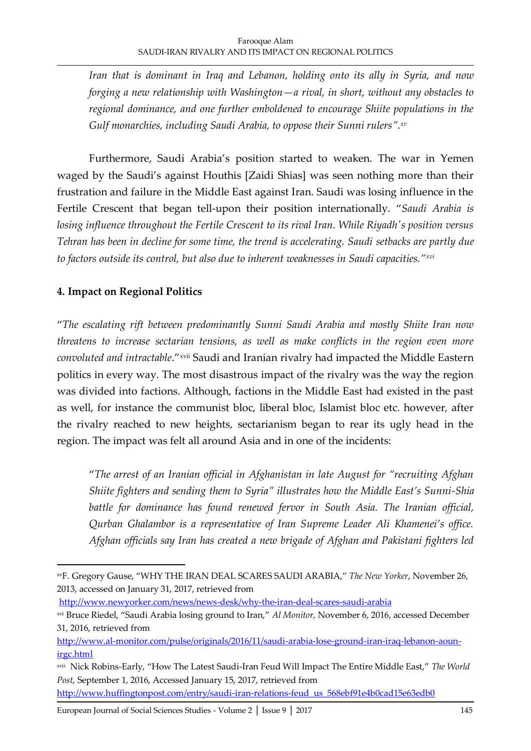*Iran that is dominant in Iraq and Lebanon, holding onto its ally in Syria, and now forging a new relationship with Washington—a rival, in short, without any obstacles to regional dominance, and one further emboldened to encourage Shiite populations in the Gulf monarchies, including Saudi Arabia, to oppose their Sunni rulers". xv*

Furthermore, Saudi Arabia's position started to weaken. The war in Yemen waged by the Saudi's against Houthis [Zaidi Shias] was seen nothing more than their frustration and failure in the Middle East against Iran. Saudi was losing influence in the Fertile Crescent that began tell-upon their position internationally. '*Saudi Arabia is losing influence throughout the Fertile Crescent to its rival Iran. While Riyadh's position versus Tehran has been in decline for some time, the trend is accelerating. Saudi setbacks are partly due to factors outside its control, but also due to inherent weaknesses in Saudi capacities."xvi*

# **4. Impact on Regional Politics**

 $\overline{a}$ 

'*The escalating rift between predominantly Sunni Saudi Arabia and mostly Shiite Iran now threatens to increase sectarian tensions, as well as make conflicts in the region even more*  convoluted and intractable."<sup>xvii</sup> Saudi and Iranian rivalry had impacted the Middle Eastern politics in every way. The most disastrous impact of the rivalry was the way the region was divided into factions. Although, factions in the Middle East had existed in the past as well, for instance the communist bloc, liberal bloc, Islamist bloc etc. however, after the rivalry reached to new heights, sectarianism began to rear its ugly head in the region. The impact was felt all around Asia and in one of the incidents:

'*The arrest of an Iranian official in Afghanistan in late August for "recruiting Afghan Shiite fighters and sending them to Syria" illustrates how the Middle East's Sunni-Shia battle for dominance has found renewed fervor in South Asia. The Iranian official, Qurban Ghalambor is a representative of Iran Supreme Leader Ali Khamenei's office. Afghan officials say Iran has created a new brigade of Afghan and Pakistani fighters led* 

<http://www.newyorker.com/news/news-desk/why-the-iran-deal-scares-saudi-arabia>

[http://www.huffingtonpost.com/entry/saudi-iran-relations-feud\\_us\\_568ebf91e4b0cad15e63edb0](http://www.huffingtonpost.com/entry/saudi-iran-relations-feud_us_568ebf91e4b0cad15e63edb0)

European Journal of Social Sciences Studies - Volume 2 │ Issue 9 │ 2017 145

xvF. Gregory Gause, 'WHY THE IRAN DEAL SCARES SAUDI ARABIA,' *The New Yorker*, November 26, 2013, accessed on January 31, 2017, retrieved from

xvi Bruce Riedel, 'Saudi Arabia losing ground to Iran,' *Al Monitor,* November 6, 2016, accessed December 31, 2016, retrieved from

[http://www.al-monitor.com/pulse/originals/2016/11/saudi-arabia-lose-ground-iran-iraq-lebanon-aoun](http://www.al-monitor.com/pulse/originals/2016/11/saudi-arabia-lose-ground-iran-iraq-lebanon-aoun-irgc.html)[irgc.html](http://www.al-monitor.com/pulse/originals/2016/11/saudi-arabia-lose-ground-iran-iraq-lebanon-aoun-irgc.html)

xvii Nick Robins-Early, 'How The Latest Saudi-Iran Feud Will Impact The Entire Middle East,' *The World Post*, September 1, 2016, Accessed January 15, 2017, retrieved from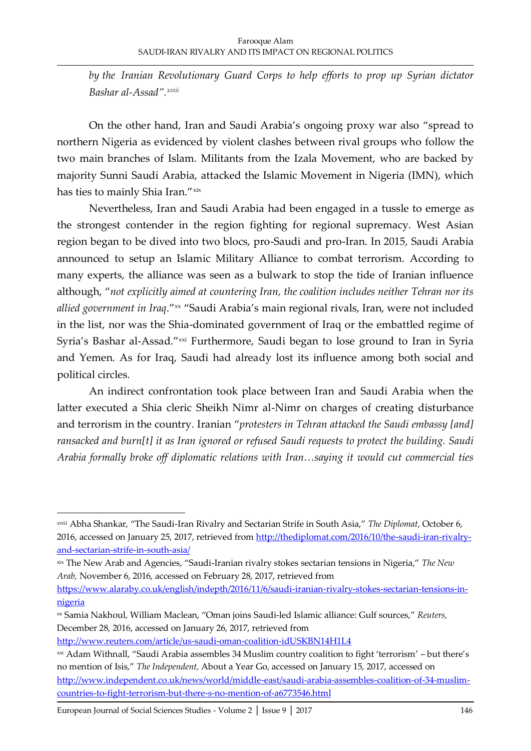*by the Iranian Revolutionary Guard Corps to help efforts to prop up Syrian dictator Bashar al-Assad". xviii* 

On the other hand, Iran and Saudi Arabia's ongoing proxy war also 'spread to northern Nigeria as evidenced by violent clashes between rival groups who follow the two main branches of Islam. Militants from the Izala Movement, who are backed by majority Sunni Saudi Arabia, attacked the Islamic Movement in Nigeria (IMN), which has ties to mainly Shia Iran."xix

Nevertheless, Iran and Saudi Arabia had been engaged in a tussle to emerge as the strongest contender in the region fighting for regional supremacy. West Asian region began to be dived into two blocs, pro-Saudi and pro-Iran. In 2015, Saudi Arabia announced to setup an Islamic Military Alliance to combat terrorism. According to many experts, the alliance was seen as a bulwark to stop the tide of Iranian influence although, '*not explicitly aimed at countering Iran, the coalition includes neither Tehran nor its*  allied government in Iraq."xx "Saudi Arabia's main regional rivals, Iran, were not included in the list, nor was the Shia-dominated government of Iraq or the embattled regime of Syria's Bashar al-Assad."xxi Furthermore, Saudi began to lose ground to Iran in Syria and Yemen. As for Iraq, Saudi had already lost its influence among both social and political circles.

An indirect confrontation took place between Iran and Saudi Arabia when the latter executed a Shia cleric Sheikh Nimr al-Nimr on charges of creating disturbance and terrorism in the country. Iranian '*protesters in Tehran attacked the Saudi embassy [and] ransacked and burn[t] it as Iran ignored or refused Saudi requests to protect the building. Saudi Arabia formally broke off diplomatic relations with Iran…saying it would cut commercial ties* 

xix The New Arab and Agencies, 'Saudi-Iranian rivalry stokes sectarian tensions in Nigeria,' *The New Arab,* November 6, 2016, accessed on February 28, 2017, retrieved from

[https://www.alaraby.co.uk/english/indepth/2016/11/6/saudi-iranian-rivalry-stokes-sectarian-tensions-in](https://www.alaraby.co.uk/english/indepth/2016/11/6/saudi-iranian-rivalry-stokes-sectarian-tensions-in-nigeria)[nigeria](https://www.alaraby.co.uk/english/indepth/2016/11/6/saudi-iranian-rivalry-stokes-sectarian-tensions-in-nigeria)

- xx Samia Nakhoul, William Maclean, 'Oman joins Saudi-led Islamic alliance: Gulf sources,' *Reuters,* December 28, 2016, accessed on January 26, 2017, retrieved from
- <http://www.reuters.com/article/us-saudi-oman-coalition-idUSKBN14H1L4>
- xxi Adam Withnall, "Saudi Arabia assembles 34 Muslim country coalition to fight 'terrorism' but there's no mention of Isis,' *The Independent,* About a Year Go, accessed on January 15, 2017, accessed on [http://www.independent.co.uk/news/world/middle-east/saudi-arabia-assembles-coalition-of-34-muslim](http://www.independent.co.uk/news/world/middle-east/saudi-arabia-assembles-coalition-of-34-muslim-countries-to-fight-terrorism-but-there-s-no-mention-of-a6773546.html)[countries-to-fight-terrorism-but-there-s-no-mention-of-a6773546.html](http://www.independent.co.uk/news/world/middle-east/saudi-arabia-assembles-coalition-of-34-muslim-countries-to-fight-terrorism-but-there-s-no-mention-of-a6773546.html)

xviii Abha Shankar, 'The Saudi-Iran Rivalry and Sectarian Strife in South Asia,' *The Diplomat*, October 6, 2016, accessed on January 25, 2017, retrieved from [http://thediplomat.com/2016/10/the-saudi-iran-rivalry](http://thediplomat.com/2016/10/the-saudi-iran-rivalry-and-sectarian-strife-in-south-asia/)[and-sectarian-strife-in-south-asia/](http://thediplomat.com/2016/10/the-saudi-iran-rivalry-and-sectarian-strife-in-south-asia/)

European Journal of Social Sciences Studies - Volume 2 │ Issue 9 │ 2017 146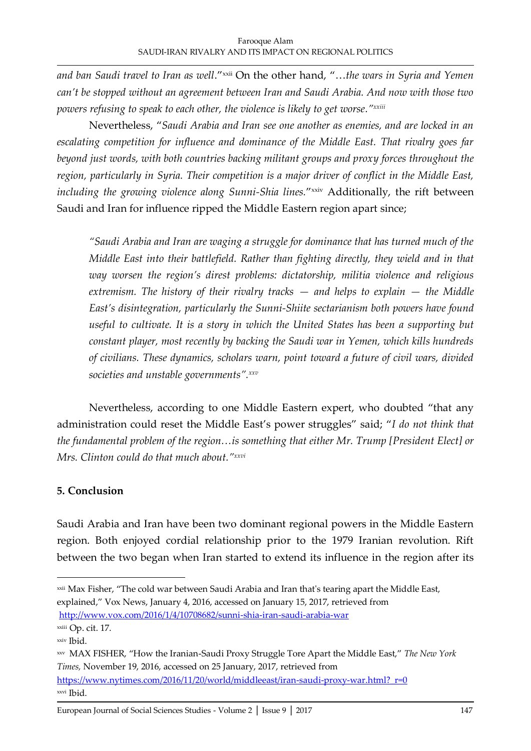and ban Saudi travel to Iran as well."<sup>xxii</sup> On the other hand, "...the wars in Syria and Yemen *can't be stopped without an agreement between Iran and Saudi Arabia. And now with those two powers refusing to speak to each other, the violence is likely to get worse."xxiii*

Nevertheless, '*Saudi Arabia and Iran see one another as enemies, and are locked in an escalating competition for influence and dominance of the Middle East. That rivalry goes far beyond just words, with both countries backing militant groups and proxy forces throughout the region, particularly in Syria. Their competition is a major driver of conflict in the Middle East,*  including the growing violence along Sunni-Shia lines.''<sup>xxiv</sup> Additionally, the rift between Saudi and Iran for influence ripped the Middle Eastern region apart since;

*"Saudi Arabia and Iran are waging a struggle for dominance that has turned much of the Middle East into their battlefield. Rather than fighting directly, they wield and in that way worsen the region's direst problems: dictatorship, militia violence and religious extremism. The history of their rivalry tracks — and helps to explain — the Middle East's disintegration, particularly the Sunni-Shiite sectarianism both powers have found useful to cultivate. It is a story in which the United States has been a supporting but constant player, most recently by backing the Saudi war in Yemen, which kills hundreds of civilians. These dynamics, scholars warn, point toward a future of civil wars, divided societies and unstable governments". xxv*

Nevertheless, according to one Middle Eastern expert, who doubted 'that any administration could reset the Middle East's power struggles' said; '*I do not think that the fundamental problem of the region…is something that either Mr. Trump [President Elect] or Mrs. Clinton could do that much about."xxvi*

## **5. Conclusion**

Saudi Arabia and Iran have been two dominant regional powers in the Middle Eastern region. Both enjoyed cordial relationship prior to the 1979 Iranian revolution. Rift between the two began when Iran started to extend its influence in the region after its

<http://www.vox.com/2016/1/4/10708682/sunni-shia-iran-saudi-arabia-war>

<sup>&</sup>lt;sup>xxii</sup> Max Fisher, "The cold war between Saudi Arabia and Iran that's tearing apart the Middle East, explained,' Vox News, January 4, 2016, accessed on January 15, 2017, retrieved from

xxiii Op. cit. 17.

xxiv Ibid.

xxv MAX FISHER, 'How the Iranian-Saudi Proxy Struggle Tore Apart the Middle East,' *The New York Times,* November 19, 2016, accessed on 25 January, 2017, retrieved from

[https://www.nytimes.com/2016/11/20/world/middleeast/iran-saudi-proxy-war.html?\\_r=0](https://www.nytimes.com/2016/11/20/world/middleeast/iran-saudi-proxy-war.html?_r=0) xxvi Ibid.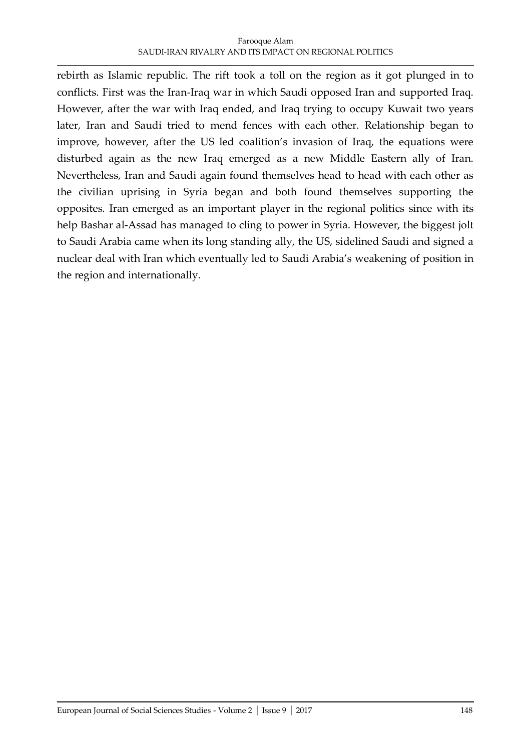### Farooque Alam SAUDI-IRAN RIVALRY AND ITS IMPACT ON REGIONAL POLITICS

rebirth as Islamic republic. The rift took a toll on the region as it got plunged in to conflicts. First was the Iran-Iraq war in which Saudi opposed Iran and supported Iraq. However, after the war with Iraq ended, and Iraq trying to occupy Kuwait two years later, Iran and Saudi tried to mend fences with each other. Relationship began to improve, however, after the US led coalition's invasion of Iraq, the equations were disturbed again as the new Iraq emerged as a new Middle Eastern ally of Iran. Nevertheless, Iran and Saudi again found themselves head to head with each other as the civilian uprising in Syria began and both found themselves supporting the opposites. Iran emerged as an important player in the regional politics since with its help Bashar al-Assad has managed to cling to power in Syria. However, the biggest jolt to Saudi Arabia came when its long standing ally, the US, sidelined Saudi and signed a nuclear deal with Iran which eventually led to Saudi Arabia's weakening of position in the region and internationally.